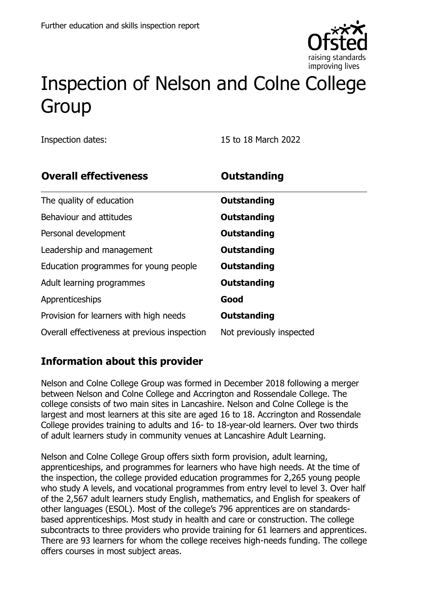

# Inspection of Nelson and Colne College Group

Inspection dates: 15 to 18 March 2022

| <b>Overall effectiveness</b>                 | Outstanding              |
|----------------------------------------------|--------------------------|
| The quality of education                     | Outstanding              |
| Behaviour and attitudes                      | Outstanding              |
| Personal development                         | Outstanding              |
| Leadership and management                    | Outstanding              |
| Education programmes for young people        | Outstanding              |
| Adult learning programmes                    | Outstanding              |
| Apprenticeships                              | Good                     |
| Provision for learners with high needs       | <b>Outstanding</b>       |
| Overall effectiveness at previous inspection | Not previously inspected |

## **Information about this provider**

Nelson and Colne College Group was formed in December 2018 following a merger between Nelson and Colne College and Accrington and Rossendale College. The college consists of two main sites in Lancashire. Nelson and Colne College is the largest and most learners at this site are aged 16 to 18. Accrington and Rossendale College provides training to adults and 16- to 18-year-old learners. Over two thirds of adult learners study in community venues at Lancashire Adult Learning.

Nelson and Colne College Group offers sixth form provision, adult learning, apprenticeships, and programmes for learners who have high needs. At the time of the inspection, the college provided education programmes for 2,265 young people who study A levels, and vocational programmes from entry level to level 3. Over half of the 2,567 adult learners study English, mathematics, and English for speakers of other languages (ESOL). Most of the college's 796 apprentices are on standardsbased apprenticeships. Most study in health and care or construction. The college subcontracts to three providers who provide training for 61 learners and apprentices. There are 93 learners for whom the college receives high-needs funding. The college offers courses in most subject areas.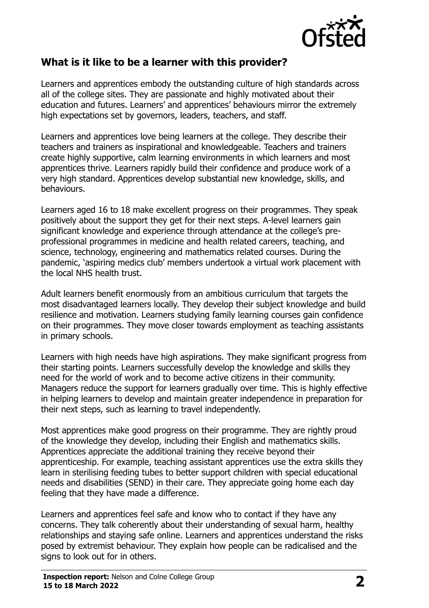

#### **What is it like to be a learner with this provider?**

Learners and apprentices embody the outstanding culture of high standards across all of the college sites. They are passionate and highly motivated about their education and futures. Learners' and apprentices' behaviours mirror the extremely high expectations set by governors, leaders, teachers, and staff.

Learners and apprentices love being learners at the college. They describe their teachers and trainers as inspirational and knowledgeable. Teachers and trainers create highly supportive, calm learning environments in which learners and most apprentices thrive. Learners rapidly build their confidence and produce work of a very high standard. Apprentices develop substantial new knowledge, skills, and behaviours.

Learners aged 16 to 18 make excellent progress on their programmes. They speak positively about the support they get for their next steps. A-level learners gain significant knowledge and experience through attendance at the college's preprofessional programmes in medicine and health related careers, teaching, and science, technology, engineering and mathematics related courses. During the pandemic, 'aspiring medics club' members undertook a virtual work placement with the local NHS health trust.

Adult learners benefit enormously from an ambitious curriculum that targets the most disadvantaged learners locally. They develop their subject knowledge and build resilience and motivation. Learners studying family learning courses gain confidence on their programmes. They move closer towards employment as teaching assistants in primary schools.

Learners with high needs have high aspirations. They make significant progress from their starting points. Learners successfully develop the knowledge and skills they need for the world of work and to become active citizens in their community. Managers reduce the support for learners gradually over time. This is highly effective in helping learners to develop and maintain greater independence in preparation for their next steps, such as learning to travel independently.

Most apprentices make good progress on their programme. They are rightly proud of the knowledge they develop, including their English and mathematics skills. Apprentices appreciate the additional training they receive beyond their apprenticeship. For example, teaching assistant apprentices use the extra skills they learn in sterilising feeding tubes to better support children with special educational needs and disabilities (SEND) in their care. They appreciate going home each day feeling that they have made a difference.

Learners and apprentices feel safe and know who to contact if they have any concerns. They talk coherently about their understanding of sexual harm, healthy relationships and staying safe online. Learners and apprentices understand the risks posed by extremist behaviour. They explain how people can be radicalised and the signs to look out for in others.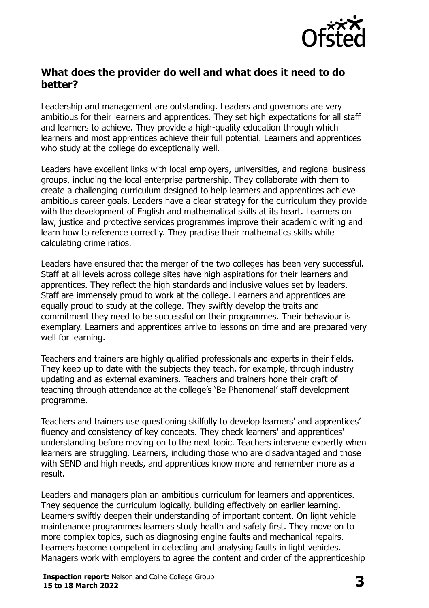

#### **What does the provider do well and what does it need to do better?**

Leadership and management are outstanding. Leaders and governors are very ambitious for their learners and apprentices. They set high expectations for all staff and learners to achieve. They provide a high-quality education through which learners and most apprentices achieve their full potential. Learners and apprentices who study at the college do exceptionally well.

Leaders have excellent links with local employers, universities, and regional business groups, including the local enterprise partnership. They collaborate with them to create a challenging curriculum designed to help learners and apprentices achieve ambitious career goals. Leaders have a clear strategy for the curriculum they provide with the development of English and mathematical skills at its heart. Learners on law, justice and protective services programmes improve their academic writing and learn how to reference correctly. They practise their mathematics skills while calculating crime ratios.

Leaders have ensured that the merger of the two colleges has been very successful. Staff at all levels across college sites have high aspirations for their learners and apprentices. They reflect the high standards and inclusive values set by leaders. Staff are immensely proud to work at the college. Learners and apprentices are equally proud to study at the college. They swiftly develop the traits and commitment they need to be successful on their programmes. Their behaviour is exemplary. Learners and apprentices arrive to lessons on time and are prepared very well for learning.

Teachers and trainers are highly qualified professionals and experts in their fields. They keep up to date with the subjects they teach, for example, through industry updating and as external examiners. Teachers and trainers hone their craft of teaching through attendance at the college's 'Be Phenomenal' staff development programme.

Teachers and trainers use questioning skilfully to develop learners' and apprentices' fluency and consistency of key concepts. They check learners' and apprentices' understanding before moving on to the next topic. Teachers intervene expertly when learners are struggling. Learners, including those who are disadvantaged and those with SEND and high needs, and apprentices know more and remember more as a result.

Leaders and managers plan an ambitious curriculum for learners and apprentices. They sequence the curriculum logically, building effectively on earlier learning. Learners swiftly deepen their understanding of important content. On light vehicle maintenance programmes learners study health and safety first. They move on to more complex topics, such as diagnosing engine faults and mechanical repairs. Learners become competent in detecting and analysing faults in light vehicles. Managers work with employers to agree the content and order of the apprenticeship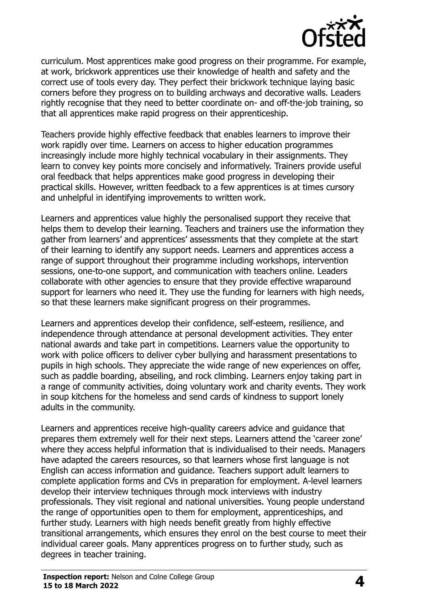

curriculum. Most apprentices make good progress on their programme. For example, at work, brickwork apprentices use their knowledge of health and safety and the correct use of tools every day. They perfect their brickwork technique laying basic corners before they progress on to building archways and decorative walls. Leaders rightly recognise that they need to better coordinate on- and off-the-job training, so that all apprentices make rapid progress on their apprenticeship.

Teachers provide highly effective feedback that enables learners to improve their work rapidly over time. Learners on access to higher education programmes increasingly include more highly technical vocabulary in their assignments. They learn to convey key points more concisely and informatively. Trainers provide useful oral feedback that helps apprentices make good progress in developing their practical skills. However, written feedback to a few apprentices is at times cursory and unhelpful in identifying improvements to written work.

Learners and apprentices value highly the personalised support they receive that helps them to develop their learning. Teachers and trainers use the information they gather from learners' and apprentices' assessments that they complete at the start of their learning to identify any support needs. Learners and apprentices access a range of support throughout their programme including workshops, intervention sessions, one-to-one support, and communication with teachers online. Leaders collaborate with other agencies to ensure that they provide effective wraparound support for learners who need it. They use the funding for learners with high needs, so that these learners make significant progress on their programmes.

Learners and apprentices develop their confidence, self-esteem, resilience, and independence through attendance at personal development activities. They enter national awards and take part in competitions. Learners value the opportunity to work with police officers to deliver cyber bullying and harassment presentations to pupils in high schools. They appreciate the wide range of new experiences on offer, such as paddle boarding, abseiling, and rock climbing. Learners enjoy taking part in a range of community activities, doing voluntary work and charity events. They work in soup kitchens for the homeless and send cards of kindness to support lonely adults in the community.

Learners and apprentices receive high-quality careers advice and guidance that prepares them extremely well for their next steps. Learners attend the 'career zone' where they access helpful information that is individualised to their needs. Managers have adapted the careers resources, so that learners whose first language is not English can access information and guidance. Teachers support adult learners to complete application forms and CVs in preparation for employment. A-level learners develop their interview techniques through mock interviews with industry professionals. They visit regional and national universities. Young people understand the range of opportunities open to them for employment, apprenticeships, and further study. Learners with high needs benefit greatly from highly effective transitional arrangements, which ensures they enrol on the best course to meet their individual career goals. Many apprentices progress on to further study, such as degrees in teacher training.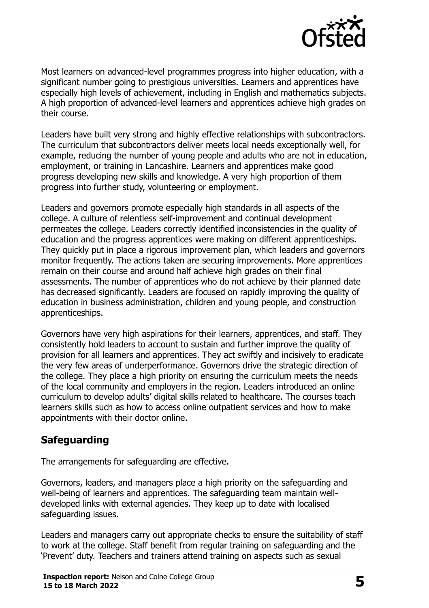

Most learners on advanced-level programmes progress into higher education, with a significant number going to prestigious universities. Learners and apprentices have especially high levels of achievement, including in English and mathematics subjects. A high proportion of advanced-level learners and apprentices achieve high grades on their course.

Leaders have built very strong and highly effective relationships with subcontractors. The curriculum that subcontractors deliver meets local needs exceptionally well, for example, reducing the number of young people and adults who are not in education, employment, or training in Lancashire. Learners and apprentices make good progress developing new skills and knowledge. A very high proportion of them progress into further study, volunteering or employment.

Leaders and governors promote especially high standards in all aspects of the college. A culture of relentless self-improvement and continual development permeates the college. Leaders correctly identified inconsistencies in the quality of education and the progress apprentices were making on different apprenticeships. They quickly put in place a rigorous improvement plan, which leaders and governors monitor frequently. The actions taken are securing improvements. More apprentices remain on their course and around half achieve high grades on their final assessments. The number of apprentices who do not achieve by their planned date has decreased significantly. Leaders are focused on rapidly improving the quality of education in business administration, children and young people, and construction apprenticeships.

Governors have very high aspirations for their learners, apprentices, and staff. They consistently hold leaders to account to sustain and further improve the quality of provision for all learners and apprentices. They act swiftly and incisively to eradicate the very few areas of underperformance. Governors drive the strategic direction of the college. They place a high priority on ensuring the curriculum meets the needs of the local community and employers in the region. Leaders introduced an online curriculum to develop adults' digital skills related to healthcare. The courses teach learners skills such as how to access online outpatient services and how to make appointments with their doctor online.

#### **Safeguarding**

The arrangements for safeguarding are effective.

Governors, leaders, and managers place a high priority on the safeguarding and well-being of learners and apprentices. The safeguarding team maintain welldeveloped links with external agencies. They keep up to date with localised safeguarding issues.

Leaders and managers carry out appropriate checks to ensure the suitability of staff to work at the college. Staff benefit from regular training on safeguarding and the 'Prevent' duty. Teachers and trainers attend training on aspects such as sexual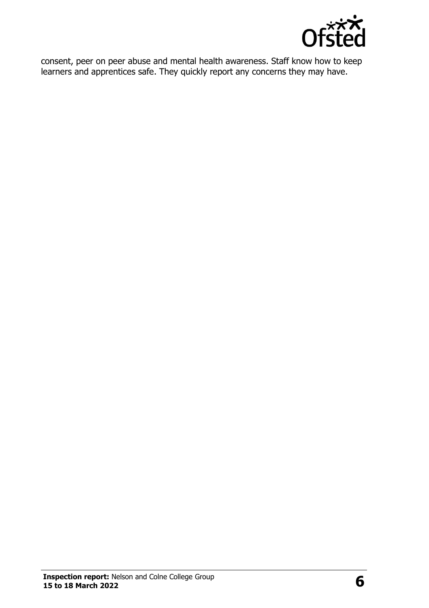

consent, peer on peer abuse and mental health awareness. Staff know how to keep learners and apprentices safe. They quickly report any concerns they may have.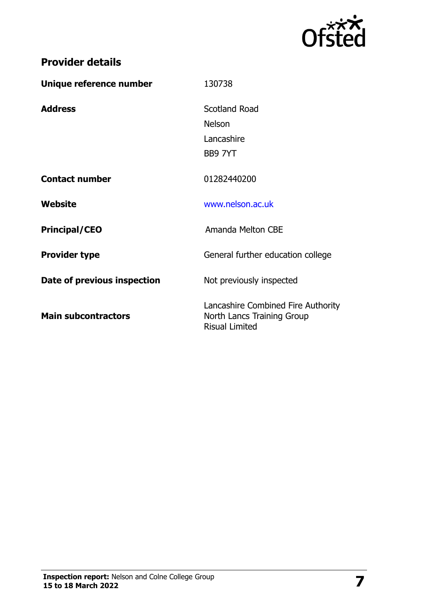

| <b>Provider details</b> |  |
|-------------------------|--|
|-------------------------|--|

| Unique reference number     | 130738                                                                                    |
|-----------------------------|-------------------------------------------------------------------------------------------|
| <b>Address</b>              | Scotland Road                                                                             |
|                             | <b>Nelson</b>                                                                             |
|                             | Lancashire                                                                                |
|                             | BB9 7YT                                                                                   |
| <b>Contact number</b>       | 01282440200                                                                               |
| Website                     | www.nelson.ac.uk                                                                          |
| <b>Principal/CEO</b>        | Amanda Melton CBE                                                                         |
| <b>Provider type</b>        | General further education college                                                         |
| Date of previous inspection | Not previously inspected                                                                  |
| <b>Main subcontractors</b>  | Lancashire Combined Fire Authority<br>North Lancs Training Group<br><b>Risual Limited</b> |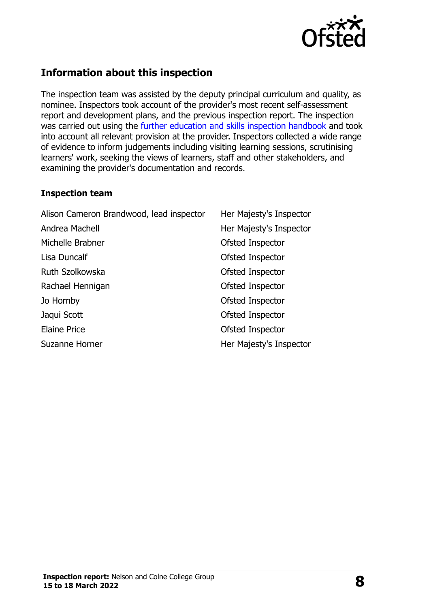

### **Information about this inspection**

The inspection team was assisted by the deputy principal curriculum and quality, as nominee. Inspectors took account of the provider's most recent self-assessment report and development plans, and the previous inspection report. The inspection was carried out using the [further education and skills inspection handbook](http://www.gov.uk/government/publications/further-education-and-skills-inspection-handbook-eif) and took into account all relevant provision at the provider. Inspectors collected a wide range of evidence to inform judgements including visiting learning sessions, scrutinising learners' work, seeking the views of learners, staff and other stakeholders, and examining the provider's documentation and records.

#### **Inspection team**

| Alison Cameron Brandwood, lead inspector | Her Majesty's Inspector |
|------------------------------------------|-------------------------|
| Andrea Machell                           | Her Majesty's Inspector |
| Michelle Brabner                         | Ofsted Inspector        |
| Lisa Duncalf                             | Ofsted Inspector        |
| Ruth Szolkowska                          | Ofsted Inspector        |
| Rachael Hennigan                         | Ofsted Inspector        |
| Jo Hornby                                | Ofsted Inspector        |
| Jaqui Scott                              | Ofsted Inspector        |
| Elaine Price                             | Ofsted Inspector        |
| Suzanne Horner                           | Her Majesty's Inspector |
|                                          |                         |